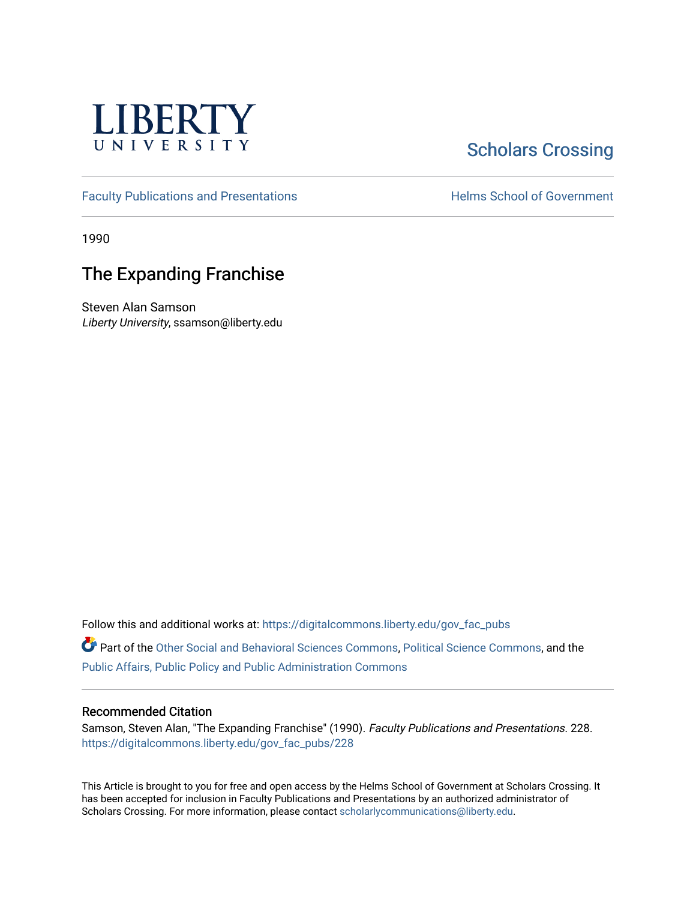

## **Scholars Crossing**

[Faculty Publications and Presentations](https://digitalcommons.liberty.edu/gov_fac_pubs) **Exercise School of Government** 

1990

## The Expanding Franchise

Steven Alan Samson Liberty University, ssamson@liberty.edu

Follow this and additional works at: [https://digitalcommons.liberty.edu/gov\\_fac\\_pubs](https://digitalcommons.liberty.edu/gov_fac_pubs?utm_source=digitalcommons.liberty.edu%2Fgov_fac_pubs%2F228&utm_medium=PDF&utm_campaign=PDFCoverPages)

Part of the [Other Social and Behavioral Sciences Commons](http://network.bepress.com/hgg/discipline/437?utm_source=digitalcommons.liberty.edu%2Fgov_fac_pubs%2F228&utm_medium=PDF&utm_campaign=PDFCoverPages), [Political Science Commons](http://network.bepress.com/hgg/discipline/386?utm_source=digitalcommons.liberty.edu%2Fgov_fac_pubs%2F228&utm_medium=PDF&utm_campaign=PDFCoverPages), and the [Public Affairs, Public Policy and Public Administration Commons](http://network.bepress.com/hgg/discipline/393?utm_source=digitalcommons.liberty.edu%2Fgov_fac_pubs%2F228&utm_medium=PDF&utm_campaign=PDFCoverPages)

## Recommended Citation

Samson, Steven Alan, "The Expanding Franchise" (1990). Faculty Publications and Presentations. 228. [https://digitalcommons.liberty.edu/gov\\_fac\\_pubs/228](https://digitalcommons.liberty.edu/gov_fac_pubs/228?utm_source=digitalcommons.liberty.edu%2Fgov_fac_pubs%2F228&utm_medium=PDF&utm_campaign=PDFCoverPages)

This Article is brought to you for free and open access by the Helms School of Government at Scholars Crossing. It has been accepted for inclusion in Faculty Publications and Presentations by an authorized administrator of Scholars Crossing. For more information, please contact [scholarlycommunications@liberty.edu.](mailto:scholarlycommunications@liberty.edu)